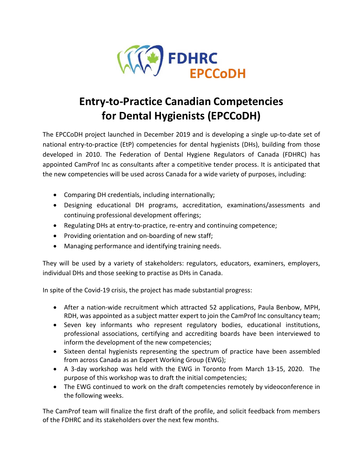

## **Entry-to-Practice Canadian Competencies for Dental Hygienists (EPCCoDH)**

The EPCCoDH project launched in December 2019 and is developing a single up-to-date set of national entry-to-practice (EtP) competencies for dental hygienists (DHs), building from those developed in 2010. The Federation of Dental Hygiene Regulators of Canada (FDHRC) has appointed CamProf Inc as consultants after a competitive tender process. It is anticipated that the new competencies will be used across Canada for a wide variety of purposes, including:

- Comparing DH credentials, including internationally;
- Designing educational DH programs, accreditation, examinations/assessments and continuing professional development offerings;
- Regulating DHs at entry-to-practice, re-entry and continuing competence;
- Providing orientation and on-boarding of new staff;
- Managing performance and identifying training needs.

They will be used by a variety of stakeholders: regulators, educators, examiners, employers, individual DHs and those seeking to practise as DHs in Canada.

In spite of the Covid-19 crisis, the project has made substantial progress:

- After a nation-wide recruitment which attracted 52 applications, Paula Benbow, MPH, RDH, was appointed as a subject matter expert to join the CamProf Inc consultancy team;
- Seven key informants who represent regulatory bodies, educational institutions, professional associations, certifying and accrediting boards have been interviewed to inform the development of the new competencies;
- Sixteen dental hygienists representing the spectrum of practice have been assembled from across Canada as an Expert Working Group (EWG);
- A 3-day workshop was held with the EWG in Toronto from March 13-15, 2020. The purpose of this workshop was to draft the initial competencies;
- The EWG continued to work on the draft competencies remotely by videoconference in the following weeks.

The CamProf team will finalize the first draft of the profile, and solicit feedback from members of the FDHRC and its stakeholders over the next few months.